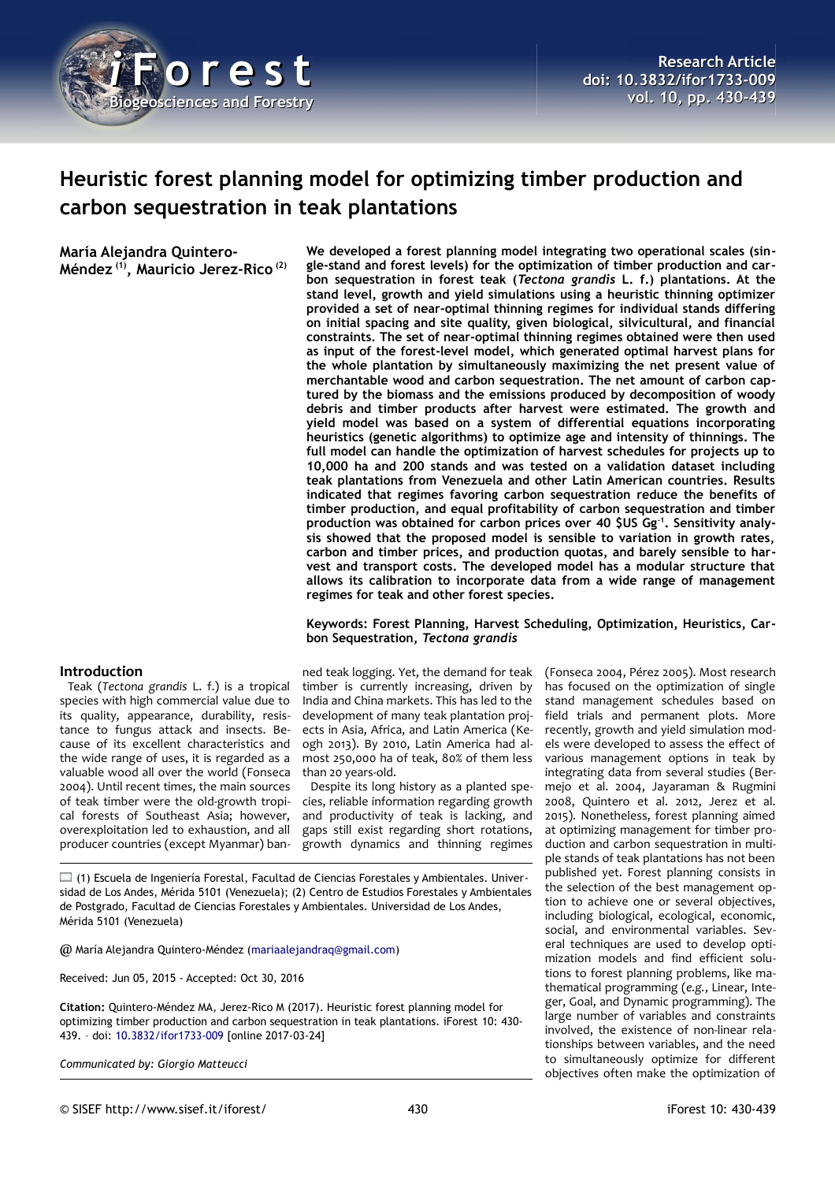

# **Heuristic forest planning model for optimizing timber production and carbon sequestration in teak plantations**

**María Alejandra Quintero-Méndez (1), Mauricio Jerez-Rico (2)** **We developed a forest planning model integrating two operational scales (single-stand and forest levels) for the optimization of timber production and carbon sequestration in forest teak (***Tectona grandis* **L. f.) plantations. At the stand level, growth and yield simulations using a heuristic thinning optimizer provided a set of near-optimal thinning regimes for individual stands differing on initial spacing and site quality, given biological, silvicultural, and financial constraints. The set of near-optimal thinning regimes obtained were then used as input of the forest-level model, which generated optimal harvest plans for the whole plantation by simultaneously maximizing the net present value of merchantable wood and carbon sequestration. The net amount of carbon captured by the biomass and the emissions produced by decomposition of woody debris and timber products after harvest were estimated. The growth and yield model was based on a system of differential equations incorporating heuristics (genetic algorithms) to optimize age and intensity of thinnings. The full model can handle the optimization of harvest schedules for projects up to 10,000 ha and 200 stands and was tested on a validation dataset including teak plantations from Venezuela and other Latin American countries. Results indicated that regimes favoring carbon sequestration reduce the benefits of timber production, and equal profitability of carbon sequestration and timber production was obtained for carbon prices over 40 \$US Gg-1. Sensitivity analysis showed that the proposed model is sensible to variation in growth rates, carbon and timber prices, and production quotas, and barely sensible to harvest and transport costs. The developed model has a modular structure that allows its calibration to incorporate data from a wide range of management regimes for teak and other forest species.** 

# **Keywords: Forest Planning, Harvest Scheduling, Optimization, Heuristics, Carbon Sequestration,** *Tectona grandis*

# **Introduction**

Teak (*Tectona grandis* L. f.) is a tropical species with high commercial value due to its quality, appearance, durability, resistance to fungus attack and insects. Because of its excellent characteristics and the wide range of uses, it is regarded as a valuable wood all over the world (Fonseca 2004). Until recent times, the main sources of teak timber were the old-growth tropical forests of Southeast Asia; however, overexploitation led to exhaustion, and all producer countries (except Myanmar) ban-

ned teak logging. Yet, the demand for teak timber is currently increasing, driven by India and China markets. This has led to the development of many teak plantation projects in Asia, Africa, and Latin America (Keogh 2013). By 2010, Latin America had almost 250,000 ha of teak, 80% of them less than 20 years-old.

Despite its long history as a planted species, reliable information regarding growth and productivity of teak is lacking, and gaps still exist regarding short rotations, growth dynamics and thinning regimes

 $\Box$  (1) Escuela de Ingeniería Forestal, Facultad de Ciencias Forestales y Ambientales. Universidad de Los Andes, Mérida 5101 (Venezuela); (2) Centro de Estudios Forestales y Ambientales de Postgrado, Facultad de Ciencias Forestales y Ambientales. Universidad de Los Andes, Mérida 5101 (Venezuela)

@ María Alejandra Quintero-Méndez [\(mariaalejandraq@gmail.com\)](mailto:mariaalejandraq@gmail.com)

Received: Jun 05, 2015 - Accepted: Oct 30, 2016

**Citation:** Quintero-Méndez MA, Jerez-Rico M (2017). Heuristic forest planning model for optimizing timber production and carbon sequestration in teak plantations. iForest 10: 430- 439. – doi: [10.3832/ifor1733-009](http://www.sisef.it/iforest/contents/?id=ifor1733-009) [online 2017-03-24]

*Communicated by: Giorgio Matteucci*

(Fonseca 2004, Pérez 2005). Most research has focused on the optimization of single stand management schedules based on field trials and permanent plots. More recently, growth and yield simulation models were developed to assess the effect of various management options in teak by integrating data from several studies (Bermejo et al. 2004, Jayaraman & Rugmini 2008, Quintero et al. 2012, Jerez et al. 2015). Nonetheless, forest planning aimed at optimizing management for timber production and carbon sequestration in multiple stands of teak plantations has not been published yet. Forest planning consists in the selection of the best management option to achieve one or several objectives, including biological, ecological, economic, social, and environmental variables. Several techniques are used to develop optimization models and find efficient solutions to forest planning problems, like mathematical programming (*e.g.*, Linear, Integer, Goal, and Dynamic programming). The large number of variables and constraints involved, the existence of non-linear relationships between variables, and the need to simultaneously optimize for different objectives often make the optimization of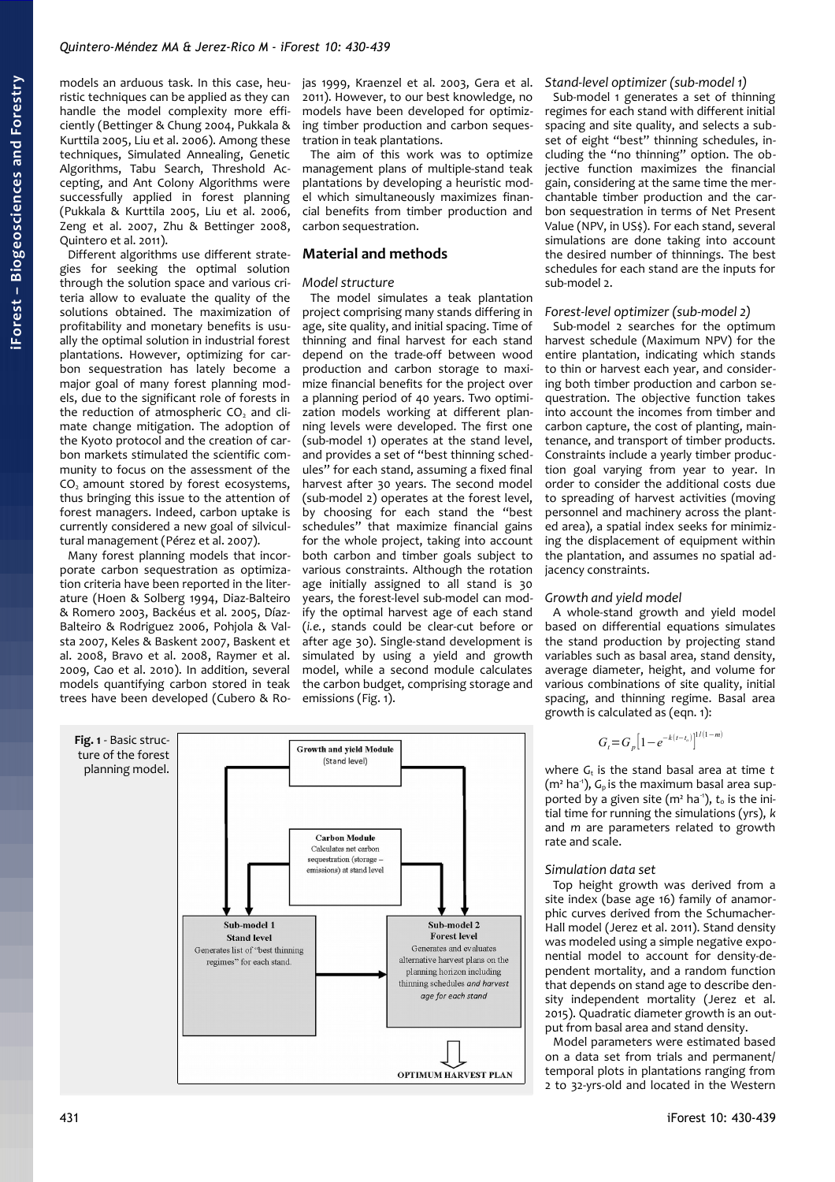models an arduous task. In this case, heuristic techniques can be applied as they can handle the model complexity more efficiently (Bettinger & Chung 2004, Pukkala & Kurttila 2005, Liu et al. 2006). Among these techniques, Simulated Annealing, Genetic Algorithms, Tabu Search, Threshold Accepting, and Ant Colony Algorithms were successfully applied in forest planning (Pukkala & Kurttila 2005, Liu et al. 2006, Zeng et al. 2007, Zhu & Bettinger 2008, Quintero et al. 2011).

Different algorithms use different strategies for seeking the optimal solution through the solution space and various criteria allow to evaluate the quality of the solutions obtained. The maximization of profitability and monetary benefits is usually the optimal solution in industrial forest plantations. However, optimizing for carbon sequestration has lately become a major goal of many forest planning models, due to the significant role of forests in the reduction of atmospheric  $CO<sub>2</sub>$  and climate change mitigation. The adoption of the Kyoto protocol and the creation of carbon markets stimulated the scientific community to focus on the assessment of the  $CO<sub>2</sub>$  amount stored by forest ecosystems, thus bringing this issue to the attention of forest managers. Indeed, carbon uptake is currently considered a new goal of silvicultural management (Pérez et al. 2007).

Many forest planning models that incorporate carbon sequestration as optimization criteria have been reported in the literature (Hoen & Solberg 1994, Diaz-Balteiro & Romero 2003, Backéus et al. 2005, Díaz-Balteiro & Rodriguez 2006, Pohjola & Valsta 2007, Keles & Baskent 2007, Baskent et al. 2008, Bravo et al. 2008, Raymer et al. 2009, Cao et al. 2010). In addition, several models quantifying carbon stored in teak trees have been developed (Cubero & Rojas 1999, Kraenzel et al. 2003, Gera et al. 2011). However, to our best knowledge, no models have been developed for optimizing timber production and carbon sequestration in teak plantations.

The aim of this work was to optimize management plans of multiple-stand teak plantations by developing a heuristic model which simultaneously maximizes financial benefits from timber production and carbon sequestration.

# **Material and methods**

# *Model structure*

The model simulates a teak plantation project comprising many stands differing in age, site quality, and initial spacing. Time of thinning and final harvest for each stand depend on the trade-off between wood production and carbon storage to maximize financial benefits for the project over a planning period of 40 years. Two optimization models working at different planning levels were developed. The first one (sub-model 1) operates at the stand level, and provides a set of "best thinning schedules" for each stand, assuming a fixed final harvest after 30 years. The second model (sub-model 2) operates at the forest level, by choosing for each stand the "best schedules" that maximize financial gains for the whole project, taking into account both carbon and timber goals subject to various constraints. Although the rotation age initially assigned to all stand is 30 years, the forest-level sub-model can modify the optimal harvest age of each stand (*i.e.*, stands could be clear-cut before or after age 30). Single-stand development is simulated by using a yield and growth model, while a second module calculates the carbon budget, comprising storage and emissions [\(Fig. 1\)](#page-1-0).

<span id="page-1-0"></span>

# *Stand-level optimizer (sub-model 1)*

Sub-model 1 generates a set of thinning regimes for each stand with different initial spacing and site quality, and selects a subset of eight "best" thinning schedules, including the "no thinning" option. The objective function maximizes the financial gain, considering at the same time the merchantable timber production and the carbon sequestration in terms of Net Present Value (NPV, in US\$). For each stand, several simulations are done taking into account the desired number of thinnings. The best schedules for each stand are the inputs for sub-model 2.

# *Forest-level optimizer (sub-model 2)*

Sub-model 2 searches for the optimum harvest schedule (Maximum NPV) for the entire plantation, indicating which stands to thin or harvest each year, and considering both timber production and carbon sequestration. The objective function takes into account the incomes from timber and carbon capture, the cost of planting, maintenance, and transport of timber products. Constraints include a yearly timber production goal varying from year to year. In order to consider the additional costs due to spreading of harvest activities (moving personnel and machinery across the planted area), a spatial index seeks for minimizing the displacement of equipment within the plantation, and assumes no spatial adjacency constraints.

# *Growth and yield model*

A whole-stand growth and yield model based on differential equations simulates the stand production by projecting stand variables such as basal area, stand density, average diameter, height, and volume for various combinations of site quality, initial spacing, and thinning regime. Basal area growth is calculated as (eqn. 1):

$$
G_t = G_p \left[ 1 - e^{-k(t - t_o)} \right]^{1/(1-m)}
$$

where *G*<sup>t</sup> is the stand basal area at time *t* (m<sup>2</sup> ha<sup>-1</sup>), *G*<sub>p</sub> is the maximum basal area supported by a given site ( $m<sup>2</sup>$  ha<sup>-1</sup>),  $t<sub>o</sub>$  is the initial time for running the simulations (yrs), *k* and *m* are parameters related to growth rate and scale.

# *Simulation data set*

Top height growth was derived from a site index (base age 16) family of anamorphic curves derived from the Schumacher-.<br>Hall model (Jerez et al. 2011). Stand density was modeled using a simple negative exponential model to account for density-dependent mortality, and a random function that depends on stand age to describe density independent mortality (Jerez et al. 2015). Quadratic diameter growth is an output from basal area and stand density.

Model parameters were estimated based on a data set from trials and permanent/ temporal plots in plantations ranging from 2 to 32-yrs-old and located in the Western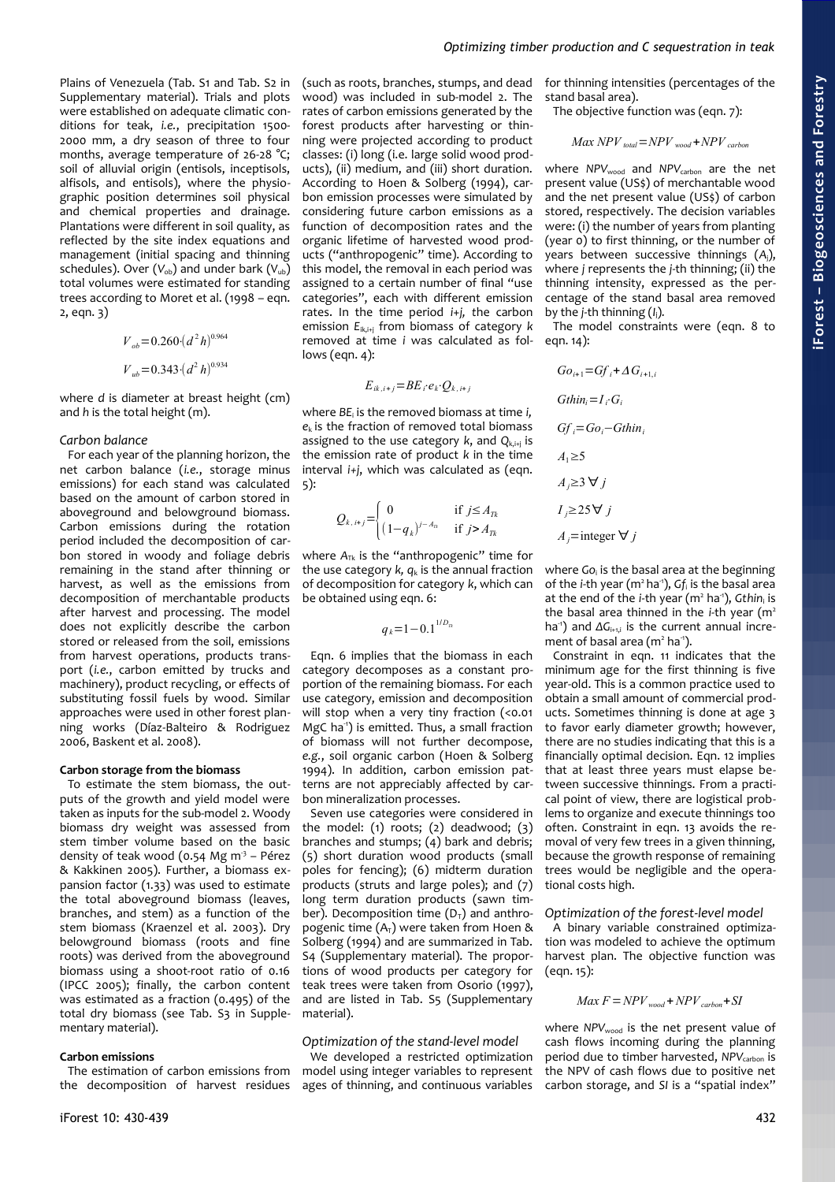Plains of Venezuela (Tab. S1 and Tab. S2 in Supplementary material). Trials and plots were established on adequate climatic conditions for teak, *i.e.*, precipitation 1500- 2000 mm, a dry season of three to four months, average temperature of 26-28 °C; soil of alluvial origin (entisols, inceptisols, alfisols, and entisols), where the physiographic position determines soil physical and chemical properties and drainage. Plantations were different in soil quality, as reflected by the site index equations and management (initial spacing and thinning schedules). Over  $(V_{ob})$  and under bark  $(V_{ub})$ total volumes were estimated for standing trees according to Moret et al. (1998 – eqn.  $2,$  eqn.  $3)$ 

$$
V_{ob} = 0.260 \cdot (d^2 h)^{0.964}
$$
  

$$
V_{ub} = 0.343 \cdot (d^2 h)^{0.934}
$$

where *d* is diameter at breast height (cm) and *h* is the total height (m).

# *Carbon balance*

For each year of the planning horizon, the net carbon balance (*i.e.*, storage minus emissions) for each stand was calculated based on the amount of carbon stored in aboveground and belowground biomass. Carbon emissions during the rotation period included the decomposition of carbon stored in woody and foliage debris remaining in the stand after thinning or harvest, as well as the emissions from decomposition of merchantable products after harvest and processing. The model does not explicitly describe the carbon stored or released from the soil, emissions from harvest operations, products transport (*i.e.*, carbon emitted by trucks and machinery), product recycling, or effects of substituting fossil fuels by wood. Similar approaches were used in other forest planning works (Díaz-Balteiro & Rodriguez 2006, Baskent et al. 2008).

# **Carbon storage from the biomass**

To estimate the stem biomass, the outputs of the growth and yield model were taken as inputs for the sub-model 2. Woody biomass dry weight was assessed from stem timber volume based on the basic density of teak wood  $(0.54 \text{ Mg m}^3 - \text{Pérez})$ & Kakkinen 2005). Further, a biomass expansion factor (1.33) was used to estimate the total aboveground biomass (leaves, branches, and stem) as a function of the stem biomass (Kraenzel et al. 2003). Dry belowground biomass (roots and fine roots) was derived from the aboveground biomass using a shoot-root ratio of 0.16 (IPCC 2005); finally, the carbon content was estimated as a fraction (0.495) of the total dry biomass (see Tab. S3 in Supplementary material).

# **Carbon emissions**

The estimation of carbon emissions from the decomposition of harvest residues (such as roots, branches, stumps, and dead wood) was included in sub-model 2. The rates of carbon emissions generated by the forest products after harvesting or thinning were projected according to product classes: (i) long (i.e. large solid wood products), (ii) medium, and (iii) short duration. According to Hoen & Solberg (1994), carbon emission processes were simulated by considering future carbon emissions as a function of decomposition rates and the organic lifetime of harvested wood products ("anthropogenic" time). According to this model, the removal in each period was assigned to a certain number of final "use categories", each with different emission rates. In the time period *i*+*j, t*he carbon emission *E*ik,i+j from biomass of category *k* removed at time *i* was calculated as follows (eqn. 4):

$$
E_{ik,i+j} = BE_i e_k Q_{k,i+j}
$$

where *BE*<sup>i</sup> is the removed biomass at time *i, e*k is the fraction of removed total biomass assigned to the use category *k*, and *Q*k,i+j is the emission rate of product *k* in the time interval *i+j*, which was calculated as (eqn. 5):

$$
Q_{k,i+j} = \begin{cases} 0 & \text{if } j \le A_{Tk} \\ (1-q_k)^{j-A_{rk}} & \text{if } j > A_{Tk} \end{cases}
$$

where  $A_{TK}$  is the "anthropogenic" time for the use category  $k$ ,  $q_k$  is the annual fraction of decomposition for category *k*, which can be obtained using eqn. 6:

$$
q_k = 1 - 0.1^{1/D_n}
$$

Eqn. 6 implies that the biomass in each category decomposes as a constant proportion of the remaining biomass. For each use category, emission and decomposition will stop when a very tiny fraction (<0.01 MgC ha<sup>-1</sup>) is emitted. Thus, a small fraction of biomass will not further decompose, *e.g.*, soil organic carbon (Hoen & Solberg 1994). In addition, carbon emission patterns are not appreciably affected by carbon mineralization processes.

Seven use categories were considered in the model:  $(1)$  roots;  $(2)$  deadwood;  $(3)$ branches and stumps; (4) bark and debris; (5) short duration wood products (small poles for fencing); (6) midterm duration products (struts and large poles); and (7) long term duration products (sawn timber). Decomposition time  $(D<sub>T</sub>)$  and anthropogenic time  $(A_T)$  were taken from Hoen & Solberg (1994) and are summarized in Tab. S4 (Supplementary material). The proportions of wood products per category for teak trees were taken from Osorio (1997), and are listed in Tab. S5 (Supplementary material).

# *Optimization of the stand-level model*

We developed a restricted optimization model using integer variables to represent ages of thinning, and continuous variables

for thinning intensities (percentages of the stand basal area).

The objective function was (eqn. 7):

$$
Max\ NPV_{total} = NPV_{wood} + NPV_{carbon}
$$

where *NPV*<sub>wood</sub> and *NPV*<sub>carbon</sub> are the net present value (US\$) of merchantable wood and the net present value (US\$) of carbon stored, respectively. The decision variables were: (i) the number of years from planting (year 0) to first thinning, or the number of years between successive thinnings (*A*j), where *j* represents the *j*-th thinning; (ii) the thinning intensity, expressed as the percentage of the stand basal area removed by the *j*-th thinning (*I*j)*.*

The model constraints were (eqn. 8 to egn.  $14$ ):

$$
Go_{i+1} = Gf_i + \Delta G_{i+1,i}
$$
  
\n
$$
Gthin_i = I_i \cdot G_i
$$
  
\n
$$
Gf_i = Go_i - Gthin_i
$$
  
\n
$$
A_1 \ge 5
$$
  
\n
$$
A_j \ge 3 \forall j
$$
  
\n
$$
I_j \ge 25 \forall j
$$
  
\n
$$
A_j = \text{integer } \forall j
$$

where *Go*<sup>i</sup> is the basal area at the beginning of the *i*-th year (m<sup>2</sup> ha<sup>-1</sup>), Gf<sub>i</sub> is the basal area at the end of the *i*-th year (m<sup>2</sup> ha<sup>-1</sup>), *Gthin*<sub>i</sub> is the basal area thinned in the *i*-th year (m<sup>2</sup> ha<sup>-1</sup>) and ΔG<sub>i+1,i</sub> is the current annual increment of basal area (m<sup>2</sup> ha<sup>-1</sup>).

Constraint in eqn. 11 indicates that the minimum age for the first thinning is five year-old. This is a common practice used to obtain a small amount of commercial products. Sometimes thinning is done at age 3 to favor early diameter growth; however, there are no studies indicating that this is a financially optimal decision. Eqn. 12 implies that at least three years must elapse between successive thinnings. From a practical point of view, there are logistical problems to organize and execute thinnings too often. Constraint in eqn. 13 avoids the removal of very few trees in a given thinning, because the growth response of remaining trees would be negligible and the operational costs high.

# *Optimization of the forest-level model*

A binary variable constrained optimization was modeled to achieve the optimum harvest plan. The objective function was (eqn. 15):

$$
Max\ F = NPV_{wood} + NPV_{carbon} + SI
$$

where *NPV*<sub>wood</sub> is the net present value of cash flows incoming during the planning period due to timber harvested, *NPV<sub>carbon</sub>* is the NPV of cash flows due to positive net carbon storage, and *SI* is a "spatial index"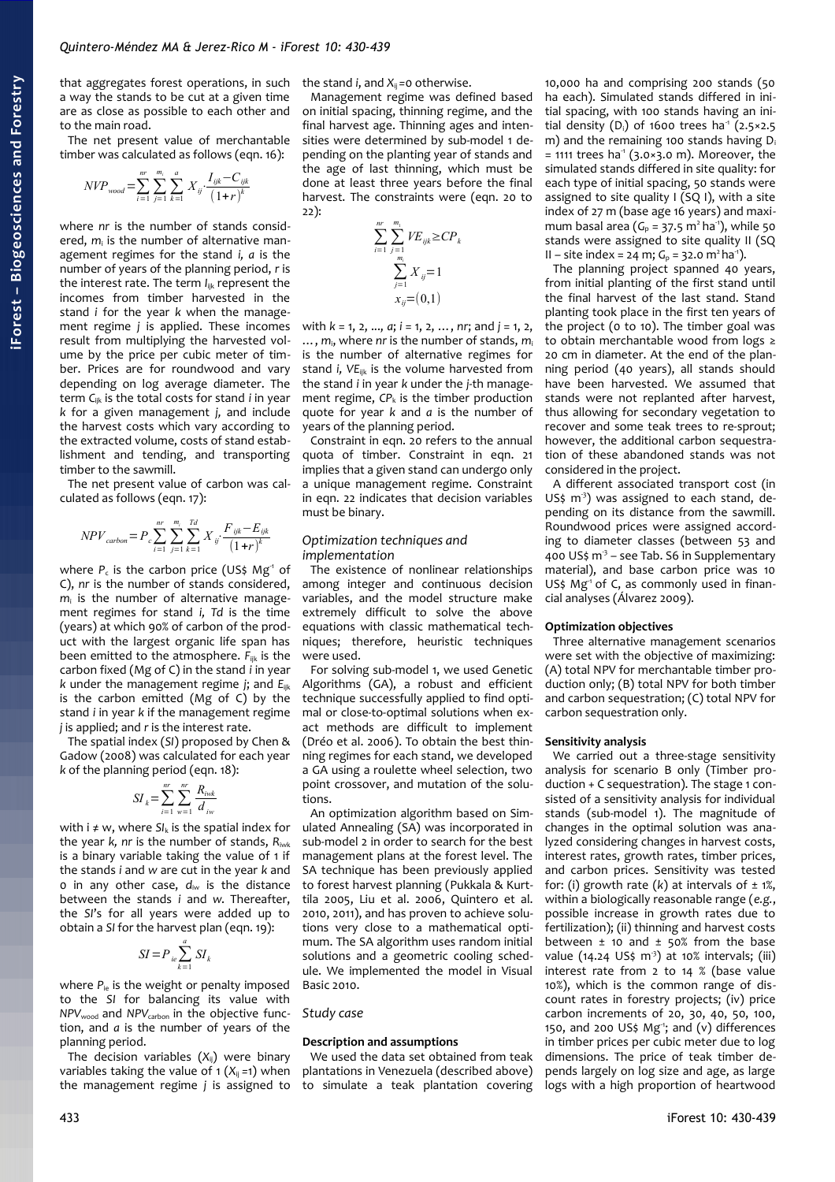that aggregates forest operations, in such a way the stands to be cut at a given time are as close as possible to each other and to the main road.

The net present value of merchantable timber was calculated as follows (eqn. 16):

$$
NVP_{wood} = \sum_{i=1}^{nr} \sum_{j=1}^{m_i} \sum_{k=1}^{a} X_{ij} \cdot \frac{I_{ijk} - C_{ijk}}{(1+r)^k}
$$

where *nr* is the number of stands considered, *m*<sup>i</sup> is the number of alternative management regimes for the stand *i, a* is the number of years of the planning period, *r* is the interest rate. The term *I*<sub>ijk</sub> represent the incomes from timber harvested in the stand *i* for the year *k* when the management regime *j* is applied. These incomes result from multiplying the harvested volume by the price per cubic meter of timber. Prices are for roundwood and vary depending on log average diameter. The term *C*ijk is the total costs for stand *i* in year *k* for a given management *j,* and include the harvest costs which vary according to the extracted volume, costs of stand establishment and tending, and transporting timber to the sawmill.

The net present value of carbon was calculated as follows (eqn. 17):

$$
NPV_{carbon} = P_c \sum_{i=1}^{nr} \sum_{j=1}^{m_i} \sum_{k=1}^{Td} X_{ij} \cdot \frac{F_{ijk} - E_{ijk}}{(1+r)^k}
$$

where  $P_c$  is the carbon price (US\$ Mg<sup>-1</sup> of C), *nr* is the number of stands considered, *m*i is the number of alternative management regimes for stand *i, Td* is the time (years) at which 90% of carbon of the product with the largest organic life span has been emitted to the atmosphere. *F*ijk is the carbon fixed (Mg of C) in the stand *i* in year *k* under the management regime *j*; and *E*ijk is the carbon emitted (Mg of C) by the stand *i* in year *k* if the management regime *j* is applied; and *r* is the interest rate.

The spatial index (*SI*) proposed by Chen & Gadow (2008) was calculated for each year *k* of the planning period (eqn. 18):

$$
SI_{k} = \sum_{i=1}^{nr} \sum_{w=1}^{nr} \frac{R_{iwk}}{d_{iw}}
$$

with  $i \neq w$ , where  $SI_k$  is the spatial index for the year *k, nr* is the number of stands, *R*iwk is a binary variable taking the value of 1 if the stands *i* and *w* are cut in the year *k* and 0 in any other case, *d*iw is the distance between the stands *i* and *w*. Thereafter, the *SI*'s for all years were added up to obtain a *SI* for the harvest plan (eqn. 19):

$$
SI = P_{ie} \sum_{k=1}^{a} SI_k
$$

where  $P_{ie}$  is the weight or penalty imposed to the *SI* for balancing its value with *NPV*<sub>wood</sub> and *NPV*<sub>carbon</sub> in the objective function, and *a* is the number of years of the planning period.

The decision variables (*X*ij) were binary variables taking the value of 1  $(X_{ii} = 1)$  when the management regime *j* is assigned to the stand *i*, and  $X_{ii}$  =0 otherwise.

Management regime was defined based on initial spacing, thinning regime, and the final harvest age. Thinning ages and intensities were determined by sub-model 1 depending on the planting year of stands and the age of last thinning, which must be done at least three years before the final harvest. The constraints were (eqn. 20 to 22):

$$
\sum_{i=1}^{n r} \sum_{\substack{j=1 \ j=1}}^{m_i} V E_{ijk} \ge CP_k
$$
  

$$
\sum_{j=1}^{m_i} X_{ij} = 1
$$
  

$$
x_{ij} = (0,1)
$$

with *k* = 1, 2, ..., *a*; *i* = 1, 2, …, *nr*; and *j* = 1, 2, …, *m*i, where *nr* is the number of stands, *m*<sup>i</sup> is the number of alternative regimes for stand *i, VE*ijk is the volume harvested from the stand *i* in year *k* under the *j*-th management regime,  $CP_k$  is the timber production quote for year *k* and *a* is the number of years of the planning period.

Constraint in eqn. 20 refers to the annual quota of timber. Constraint in eqn. 21 implies that a given stand can undergo only a unique management regime. Constraint in eqn. 22 indicates that decision variables must be binary.

# *Optimization techniques and implementation*

The existence of nonlinear relationships among integer and continuous decision variables, and the model structure make extremely difficult to solve the above equations with classic mathematical techniques; therefore, heuristic techniques were used.

For solving sub-model 1, we used Genetic Algorithms (GA), a robust and efficient technique successfully applied to find optimal or close-to-optimal solutions when exact methods are difficult to implement (Dréo et al. 2006). To obtain the best thinning regimes for each stand, we developed a GA using a roulette wheel selection, two point crossover, and mutation of the solutions.

An optimization algorithm based on Simulated Annealing (SA) was incorporated in sub-model 2 in order to search for the best management plans at the forest level. The SA technique has been previously applied to forest harvest planning (Pukkala & Kurttila 2005, Liu et al. 2006, Quintero et al. 2010, 2011), and has proven to achieve solutions very close to a mathematical optimum. The SA algorithm uses random initial solutions and a geometric cooling schedule. We implemented the model in Visual Basic 2010.

#### *Study case*

#### **Description and assumptions**

We used the data set obtained from teak plantations in Venezuela (described above) to simulate a teak plantation covering

10,000 ha and comprising 200 stands (50 ha each). Simulated stands differed in initial spacing, with 100 stands having an initial density (D<sub>i</sub>) of 1600 trees ha<sup>1</sup> (2.5×2.5) m) and the remaining 100 stands having  $D_i$  $= 1111$  trees ha<sup>-1</sup> (3.0×3.0 m). Moreover, the simulated stands differed in site quality: for each type of initial spacing, 50 stands were assigned to site quality  $I(SQ I)$ , with a site index of 27 m (base age 16 years) and maximum basal area  $(G_p = 37.5 \text{ m}^2 \text{ ha}^3)$ , while 50 stands were assigned to site quality II (SO  $II - site$  index = 24 m;  $G_p$  = 32.0 m<sup>2</sup> ha<sup>-1</sup>).

The planning project spanned 40 years, from initial planting of the first stand until the final harvest of the last stand. Stand planting took place in the first ten years of the project (0 to 10). The timber goal was to obtain merchantable wood from logs ≥ 20 cm in diameter. At the end of the planning period (40 years), all stands should have been harvested. We assumed that stands were not replanted after harvest, thus allowing for secondary vegetation to recover and some teak trees to re-sprout; however, the additional carbon sequestration of these abandoned stands was not considered in the project.

A different associated transport cost (in US\$ m<sup>3</sup>) was assigned to each stand, depending on its distance from the sawmill. Roundwood prices were assigned according to diameter classes (between 53 and 400 US\$  $m^3$  – see Tab. S6 in Supplementary material), and base carbon price was 10 US\$ Mg<sup>-1</sup> of C, as commonly used in financial analyses (Álvarez 2009).

# **Optimization objectives**

Three alternative management scenarios were set with the objective of maximizing: (A) total NPV for merchantable timber production only; (B) total NPV for both timber and carbon sequestration; (C) total NPV for carbon sequestration only.

#### **Sensitivity analysis**

We carried out a three-stage sensitivity analysis for scenario B only (Timber production + C sequestration). The stage 1 consisted of a sensitivity analysis for individual stands (sub-model 1). The magnitude of changes in the optimal solution was analyzed considering changes in harvest costs, interest rates, growth rates, timber prices, and carbon prices. Sensitivity was tested for: (i) growth rate  $(k)$  at intervals of  $\pm$  1%, within a biologically reasonable range (*e.g.*, possible increase in growth rates due to fertilization); (ii) thinning and harvest costs between  $\pm$  10 and  $\pm$  50% from the base value (14.24 US\$ m<sup>3</sup>) at 10% intervals; (iii) interest rate from 2 to 14 % (base value 10%), which is the common range of discount rates in forestry projects; (iv) price carbon increments of 20, 30, 40, 50, 100, 150, and 200 US\$ Mg<sup>-1</sup>; and (v) differences in timber prices per cubic meter due to log dimensions. The price of teak timber depends largely on log size and age, as large logs with a high proportion of heartwood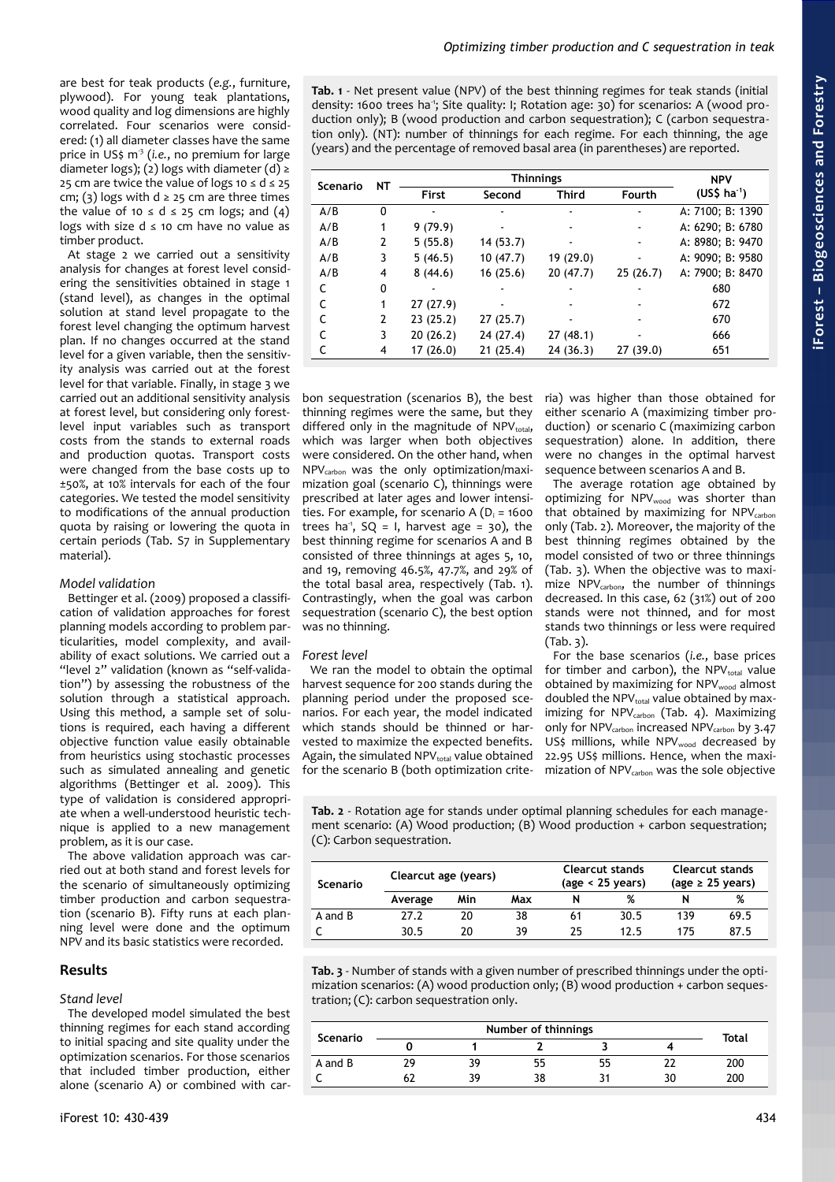are best for teak products (*e.g.*, furniture, plywood). For young teak plantations, wood quality and log dimensions are highly correlated. Four scenarios were considered: (1) all diameter classes have the same price in US\$ m-3 (*i.e.*, no premium for large diameter logs); (2) logs with diameter (d) ≥ 25 cm are twice the value of logs 10  $\leq$  d  $\leq$  25 cm; (3) logs with  $d \ge 25$  cm are three times the value of 10  $\le$  d  $\le$  25 cm logs; and (4) logs with size  $d \leq 10$  cm have no value as timber product.

At stage 2 we carried out a sensitivity analysis for changes at forest level considering the sensitivities obtained in stage 1 (stand level), as changes in the optimal solution at stand level propagate to the forest level changing the optimum harvest plan. If no changes occurred at the stand level for a given variable, then the sensitivity analysis was carried out at the forest level for that variable. Finally, in stage 3 we carried out an additional sensitivity analysis at forest level, but considering only forestlevel input variables such as transport costs from the stands to external roads and production quotas. Transport costs were changed from the base costs up to ±50%, at 10% intervals for each of the four categories. We tested the model sensitivity to modifications of the annual production quota by raising or lowering the quota in certain periods (Tab. S7 in Supplementary material).

# *Model validation*

Bettinger et al. (2009) proposed a classification of validation approaches for forest planning models according to problem particularities, model complexity, and availability of exact solutions. We carried out a "level 2" validation (known as "self-validation") by assessing the robustness of the solution through a statistical approach. Using this method, a sample set of solutions is required, each having a different objective function value easily obtainable from heuristics using stochastic processes such as simulated annealing and genetic algorithms (Bettinger et al. 2009). This type of validation is considered appropriate when a well-understood heuristic technique is applied to a new management problem, as it is our case.

The above validation approach was carried out at both stand and forest levels for the scenario of simultaneously optimizing timber production and carbon sequestration (scenario B). Fifty runs at each planning level were done and the optimum NPV and its basic statistics were recorded.

# **Results**

# *Stand level*

The developed model simulated the best thinning regimes for each stand according to initial spacing and site quality under the optimization scenarios. For those scenarios that included timber production, either alone (scenario A) or combined with car<span id="page-4-2"></span>**Tab. 1** - Net present value (NPV) of the best thinning regimes for teak stands (initial density: 1600 trees ha<sup>-1</sup>; Site quality: I; Rotation age: 30) for scenarios: A (wood production only); B (wood production and carbon sequestration); C (carbon sequestration only). (NT): number of thinnings for each regime. For each thinning, the age (years) and the percentage of removed basal area (in parentheses) are reported.

| Scenario | <b>NT</b> |          | <b>NPV</b> |           |                          |                  |
|----------|-----------|----------|------------|-----------|--------------------------|------------------|
|          |           | First    | Second     | Third     | <b>Fourth</b>            | $(US$ ha-1)$     |
| A/B      | 0         |          |            |           |                          | A: 7100; B: 1390 |
| A/B      |           | 9(79.9)  |            |           |                          | A: 6290; B: 6780 |
| A/B      | 2         | 5(55.8)  | 14(53.7)   |           |                          | A: 8980; B: 9470 |
| A/B      | 3         | 5(46.5)  | 10(47.7)   | 19 (29.0) | $\overline{\phantom{0}}$ | A: 9090; B: 9580 |
| A/B      | 4         | 8(44.6)  | 16(25.6)   | 20(47.7)  | 25(26.7)                 | A: 7900; B: 8470 |
|          | 0         |          |            |           |                          | 680              |
|          |           | 27(27.9) |            |           |                          | 672              |
|          | 2         | 23(25.2) | 27(25.7)   |           |                          | 670              |
|          | 3         | 20(26.2) | 24 (27.4)  | 27(48.1)  |                          | 666              |
|          | 4         | 17(26.0) | 21(25.4)   | 24(36.3)  | 27 (39.0)                | 651              |

bon sequestration (scenarios B), the best thinning regimes were the same, but they differed only in the magnitude of  $NPV_{total}$ , which was larger when both objectives were considered. On the other hand, when NPVcarbon was the only optimization/maximization goal (scenario C), thinnings were prescribed at later ages and lower intensities. For example, for scenario  $A (D_i = 1600$ trees ha<sup>-1</sup>, SQ = 1, harvest age =  $30$ , the best thinning regime for scenarios A and B consisted of three thinnings at ages 5, 10, and 19, removing 46.5%, 47.7%, and 29% of the total basal area, respectively [\(Tab. 1\)](#page-4-2). Contrastingly, when the goal was carbon sequestration (scenario C), the best option was no thinning.

# *Forest level*

We ran the model to obtain the optimal harvest sequence for 200 stands during the planning period under the proposed scenarios. For each year, the model indicated which stands should be thinned or harvested to maximize the expected benefits. Again, the simulated  $NPV_{total}$  value obtained for the scenario B (both optimization criteria) was higher than those obtained for either scenario A (maximizing timber production) or scenario C (maximizing carbon sequestration) alone. In addition, there were no changes in the optimal harvest sequence between scenarios A and B.

The average rotation age obtained by optimizing for NPVwood was shorter than that obtained by maximizing for  $NPV_{carbon}$ only [\(Tab. 2\)](#page-4-1). Moreover, the majority of the best thinning regimes obtained by the model consisted of two or three thinnings [\(Tab. 3\)](#page-4-0). When the objective was to maximize NPV<sub>carbon</sub>, the number of thinnings decreased. In this case, 62 (31%) out of 200 stands were not thinned, and for most stands two thinnings or less were required [\(Tab. 3\)](#page-4-0).

For the base scenarios (*i.e.*, base prices for timber and carbon), the  $NPV_{total}$  value obtained by maximizing for NPVwood almost doubled the NPV<sub>total</sub> value obtained by max-imizing for NPV<sub>carbon</sub> [\(Tab. 4\)](#page-5-0). Maximizing only for NPV<sub>carbon</sub> increased NPV<sub>carbon</sub> by 3.47 US\$ millions, while NPVwood decreased by 22.95 US\$ millions. Hence, when the maximization of NPV<sub>carbon</sub> was the sole objective

<span id="page-4-1"></span>**Tab. 2** - Rotation age for stands under optimal planning schedules for each management scenario: (A) Wood production; (B) Wood production + carbon sequestration; (C): Carbon sequestration.

| Scenario | Clearcut age (years) |     |     | Clearcut stands<br>$(age < 25$ years) |      | Clearcut stands<br>(age $\geq$ 25 years) |      |
|----------|----------------------|-----|-----|---------------------------------------|------|------------------------------------------|------|
|          | Average              | Min | Max |                                       | %    |                                          | %    |
| A and B  | 27.2                 | 20  | 38  | 61                                    | 30.5 | 139                                      | 69.5 |
|          | 30.5                 | 20  | 39  | 25                                    | 12.5 | 175                                      | 87.5 |

<span id="page-4-0"></span>**Tab. 3** - Number of stands with a given number of prescribed thinnings under the optimization scenarios: (A) wood production only; (B) wood production + carbon sequestration; (C): carbon sequestration only.

| Scenario |    |    |    |    |  |       |
|----------|----|----|----|----|--|-------|
|          |    |    |    |    |  | Total |
| A and B  | ንር | 39 | 55 | לל |  | 200   |
|          |    | 39 | 38 |    |  | 200   |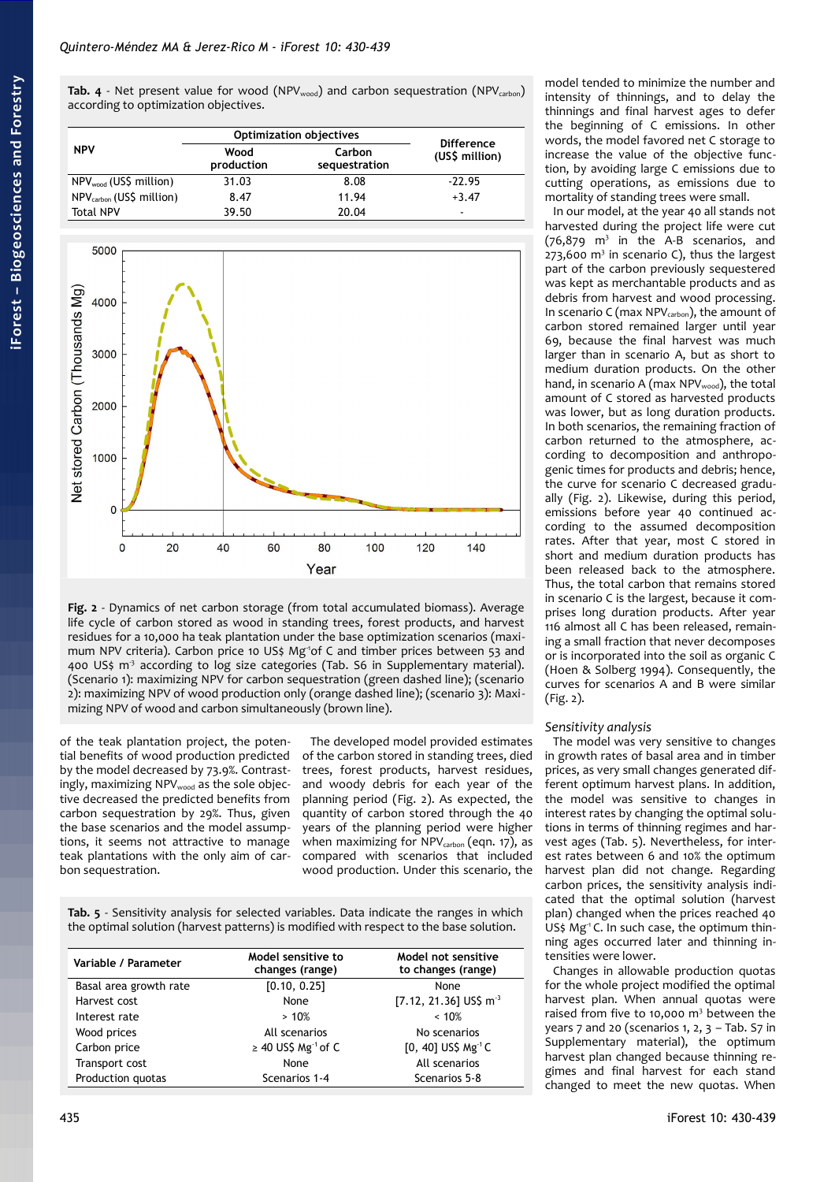<span id="page-5-0"></span>**Tab. 4** - Net present value for wood (NPV<sub>wood</sub>) and carbon sequestration (NPV<sub>carbon</sub>) according to optimization objectives.

|                                      | <b>Optimization objectives</b> | <b>Difference</b>       |                |  |
|--------------------------------------|--------------------------------|-------------------------|----------------|--|
| <b>NPV</b>                           | Wood<br>production             | Carbon<br>sequestration | (US\$ million) |  |
| NPV <sub>wood</sub> (US\$ million)   | 31.03                          | 8.08                    | $-22.95$       |  |
| NPV <sub>carbon</sub> (US\$ million) | 8.47                           | 11.94                   | $+3.47$        |  |
| <b>Total NPV</b>                     | 39.50                          | 20.04                   | -              |  |



<span id="page-5-2"></span>**Fig. 2** - Dynamics of net carbon storage (from total accumulated biomass). Average life cycle of carbon stored as wood in standing trees, forest products, and harvest residues for a 10,000 ha teak plantation under the base optimization scenarios (maximum NPV criteria). Carbon price 10 US\$ Mg<sup>1</sup>of C and timber prices between 53 and 400 US\$  $m<sup>3</sup>$  according to log size categories (Tab. S6 in Supplementary material). (Scenario 1): maximizing NPV for carbon sequestration (green dashed line); (scenario 2): maximizing NPV of wood production only (orange dashed line); (scenario 3): Maximizing NPV of wood and carbon simultaneously (brown line).

of the teak plantation project, the potential benefits of wood production predicted by the model decreased by 73.9%. Contrastingly, maximizing NPVwood as the sole objective decreased the predicted benefits from carbon sequestration by 29%. Thus, given the base scenarios and the model assumptions, it seems not attractive to manage teak plantations with the only aim of carbon sequestration.

The developed model provided estimates of the carbon stored in standing trees, died trees, forest products, harvest residues, and woody debris for each year of the planning period [\(Fig. 2\)](#page-5-2). As expected, the quantity of carbon stored through the 40 years of the planning period were higher when maximizing for NPV<sub>carbon</sub> (eqn. 17), as compared with scenarios that included wood production. Under this scenario, the

<span id="page-5-1"></span>**Tab. 5** - Sensitivity analysis for selected variables. Data indicate the ranges in which the optimal solution (harvest patterns) is modified with respect to the base solution.

| Variable / Parameter   | Model sensitive to<br>changes (range) | Model not sensitive<br>to changes (range) |  |
|------------------------|---------------------------------------|-------------------------------------------|--|
| Basal area growth rate | [0.10, 0.25]                          | None                                      |  |
| Harvest cost           | None                                  | [7.12, 21.36] US\$ $\text{m}^3$           |  |
| Interest rate          | >10%                                  | ~< 10%                                    |  |
| Wood prices            | All scenarios                         | No scenarios                              |  |
| Carbon price           | $\geq$ 40 US\$ Mg <sup>-1</sup> of C  | $[0, 40]$ US\$ Mg <sup>-1</sup> C         |  |
| Transport cost         | None                                  | All scenarios                             |  |
| Production quotas      | Scenarios 1-4                         | Scenarios 5-8                             |  |

model tended to minimize the number and intensity of thinnings, and to delay the thinnings and final harvest ages to defer the beginning of C emissions. In other words, the model favored net C storage to increase the value of the objective function, by avoiding large C emissions due to cutting operations, as emissions due to mortality of standing trees were small.

In our model, at the year 40 all stands not harvested during the project life were cut  $(76,879 \text{ m}^3 \text{ in the A-B scenarios, and})$  $273,600$  m<sup>3</sup> in scenario C), thus the largest part of the carbon previously sequestered was kept as merchantable products and as debris from harvest and wood processing. In scenario C (max NPVcarbon), the amount of carbon stored remained larger until year 69, because the final harvest was much larger than in scenario A, but as short to medium duration products. On the other hand, in scenario A (max NPVwood), the total amount of C stored as harvested products was lower, but as long duration products. In both scenarios, the remaining fraction of carbon returned to the atmosphere, according to decomposition and anthropogenic times for products and debris; hence, the curve for scenario C decreased gradually [\(Fig. 2\)](#page-5-2). Likewise, during this period, emissions before year 40 continued according to the assumed decomposition rates. After that year, most C stored in short and medium duration products has been released back to the atmosphere. Thus, the total carbon that remains stored in scenario C is the largest, because it comprises long duration products. After year 116 almost all C has been released, remaining a small fraction that never decomposes or is incorporated into the soil as organic C (Hoen & Solberg 1994). Consequently, the curves for scenarios A and B were similar [\(Fig. 2\)](#page-5-2).

# *Sensitivity analysis*

The model was very sensitive to changes in growth rates of basal area and in timber prices, as very small changes generated different optimum harvest plans. In addition, the model was sensitive to changes in interest rates by changing the optimal solutions in terms of thinning regimes and harvest ages [\(Tab. 5\)](#page-5-1). Nevertheless, for interest rates between 6 and 10% the optimum harvest plan did not change. Regarding carbon prices, the sensitivity analysis indicated that the optimal solution (harvest plan) changed when the prices reached 40 US\$ Mg<sup>-1</sup> C. In such case, the optimum thinning ages occurred later and thinning intensities were lower.

Changes in allowable production quotas for the whole project modified the optimal harvest plan. When annual quotas were raised from five to 10,000 m<sup>3</sup> between the years 7 and 20 (scenarios 1, 2, 3 – Tab. S7 in Supplementary material), the optimum harvest plan changed because thinning regimes and final harvest for each stand changed to meet the new quotas. When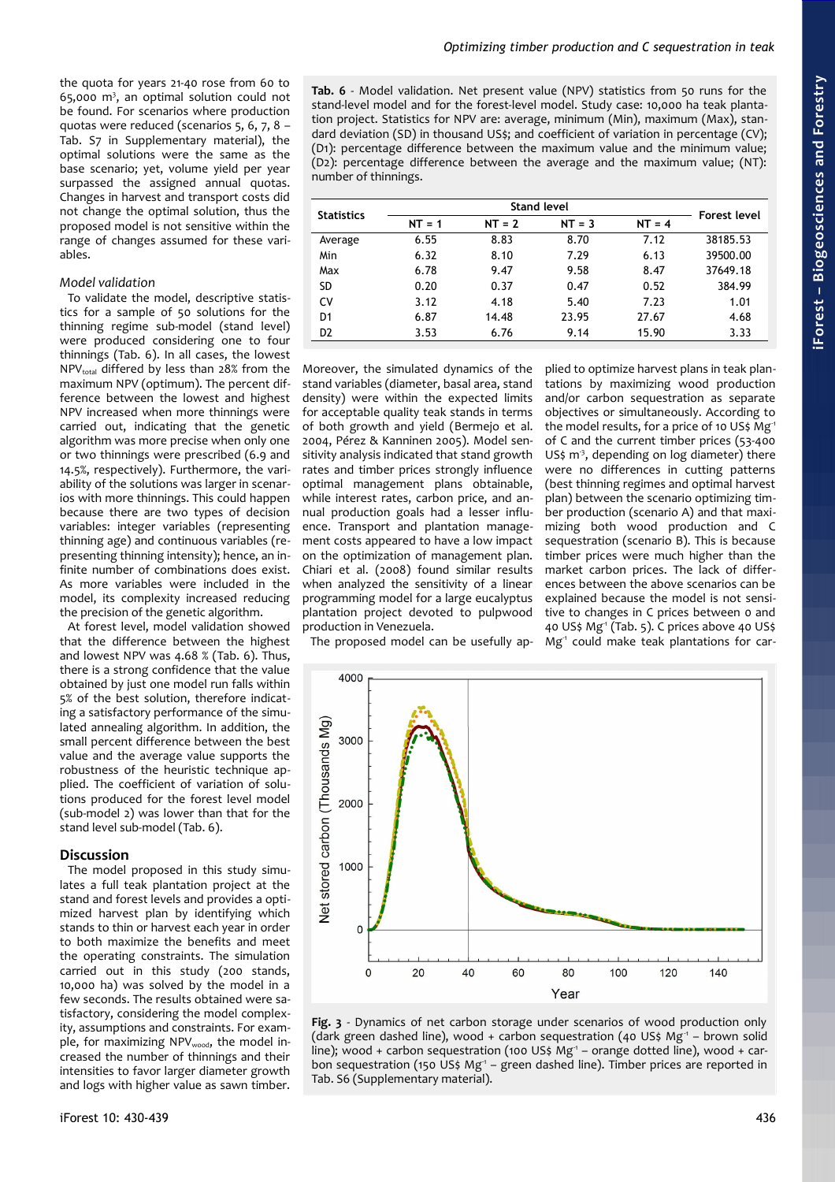the quota for years 21-40 rose from 60 to  $65,000$  m<sup>3</sup>, an optimal solution could not be found. For scenarios where production quotas were reduced (scenarios 5, 6, 7, 8 – Tab. S7 in Supplementary material), the optimal solutions were the same as the base scenario; yet, volume yield per year surpassed the assigned annual quotas. Changes in harvest and transport costs did not change the optimal solution, thus the proposed model is not sensitive within the range of changes assumed for these variables.

# *Model validation*

To validate the model, descriptive statistics for a sample of 50 solutions for the thinning regime sub-model (stand level) were produced considering one to four thinnings [\(Tab. 6\)](#page-6-0). In all cases, the lowest  $NPV_{total}$  differed by less than 28% from the maximum NPV (optimum). The percent difference between the lowest and highest NPV increased when more thinnings were carried out, indicating that the genetic algorithm was more precise when only one or two thinnings were prescribed (6.9 and 14.5%, respectively). Furthermore, the variability of the solutions was larger in scenarios with more thinnings. This could happen because there are two types of decision variables: integer variables (representing thinning age) and continuous variables (representing thinning intensity); hence, an infinite number of combinations does exist. As more variables were included in the model, its complexity increased reducing the precision of the genetic algorithm.

At forest level, model validation showed that the difference between the highest and lowest NPV was 4.68 % [\(Tab. 6\)](#page-6-0). Thus, there is a strong confidence that the value obtained by just one model run falls within 5% of the best solution, therefore indicating a satisfactory performance of the simulated annealing algorithm. In addition, the small percent difference between the best value and the average value supports the robustness of the heuristic technique applied. The coefficient of variation of solutions produced for the forest level model (sub-model 2) was lower than that for the stand level sub-model [\(Tab. 6\)](#page-6-0).

# **Discussion**

The model proposed in this study simulates a full teak plantation project at the stand and forest levels and provides a optimized harvest plan by identifying which stands to thin or harvest each year in order to both maximize the benefits and meet the operating constraints. The simulation carried out in this study (200 stands, 10,000 ha) was solved by the model in a few seconds. The results obtained were satisfactory, considering the model complexity, assumptions and constraints. For example, for maximizing NPVwood, the model increased the number of thinnings and their intensities to favor larger diameter growth and logs with higher value as sawn timber.

<span id="page-6-0"></span>**Tab. 6** - Model validation. Net present value (NPV) statistics from 50 runs for the stand-level model and for the forest-level model. Study case: 10,000 ha teak plantation project. Statistics for NPV are: average, minimum (Min), maximum (Max), standard deviation (SD) in thousand US\$; and coefficient of variation in percentage (CV); (D1): percentage difference between the maximum value and the minimum value; (D2): percentage difference between the average and the maximum value; (NT): number of thinnings.

| <b>Statistics</b> |          | Forest level |          |          |          |
|-------------------|----------|--------------|----------|----------|----------|
|                   | $NT = 1$ | $NT = 2$     | $NT = 3$ | $NT = 4$ |          |
| Average           | 6.55     | 8.83         | 8.70     | 7.12     | 38185.53 |
| Min               | 6.32     | 8.10         | 7.29     | 6.13     | 39500.00 |
| Max               | 6.78     | 9.47         | 9.58     | 8.47     | 37649.18 |
| SD                | 0.20     | 0.37         | 0.47     | 0.52     | 384.99   |
| C٧                | 3.12     | 4.18         | 5.40     | 7.23     | 1.01     |
| D <sub>1</sub>    | 6.87     | 14.48        | 23.95    | 27.67    | 4.68     |
| D <sub>2</sub>    | 3.53     | 6.76         | 9.14     | 15.90    | 3.33     |

Moreover, the simulated dynamics of the stand variables (diameter, basal area, stand density) were within the expected limits for acceptable quality teak stands in terms of both growth and yield (Bermejo et al. 2004, Pérez & Kanninen 2005). Model sensitivity analysis indicated that stand growth rates and timber prices strongly influence optimal management plans obtainable, while interest rates, carbon price, and annual production goals had a lesser influence. Transport and plantation management costs appeared to have a low impact on the optimization of management plan. Chiari et al. (2008) found similar results when analyzed the sensitivity of a linear programming model for a large eucalyptus plantation project devoted to pulpwood production in Venezuela.

plied to optimize harvest plans in teak plantations by maximizing wood production and/or carbon sequestration as separate objectives or simultaneously. According to the model results, for a price of 10 US\$ Mg<sup>-1</sup> of C and the current timber prices (53-400 US\$  $m<sup>3</sup>$ , depending on log diameter) there were no differences in cutting patterns (best thinning regimes and optimal harvest plan) between the scenario optimizing timber production (scenario A) and that maximizing both wood production and C sequestration (scenario B). This is because timber prices were much higher than the market carbon prices. The lack of differences between the above scenarios can be explained because the model is not sensitive to changes in C prices between 0 and 40 US\$  $Mg^1$  [\(Tab. 5\)](#page-5-1). C prices above 40 US\$  $Mg<sup>-1</sup>$  could make teak plantations for car-

The proposed model can be usefully ap-



<span id="page-6-1"></span>**Fig. 3** - Dynamics of net carbon storage under scenarios of wood production only (dark green dashed line), wood + carbon sequestration (40 US\$ Mg<sup>-1</sup> – brown solid line); wood + carbon sequestration (100 US\$ Mg<sup>-1</sup> – orange dotted line), wood + carbon sequestration (150 US\$ Mg<sup>-1</sup> – green dashed line). Timber prices are reported in Tab. S6 (Supplementary material).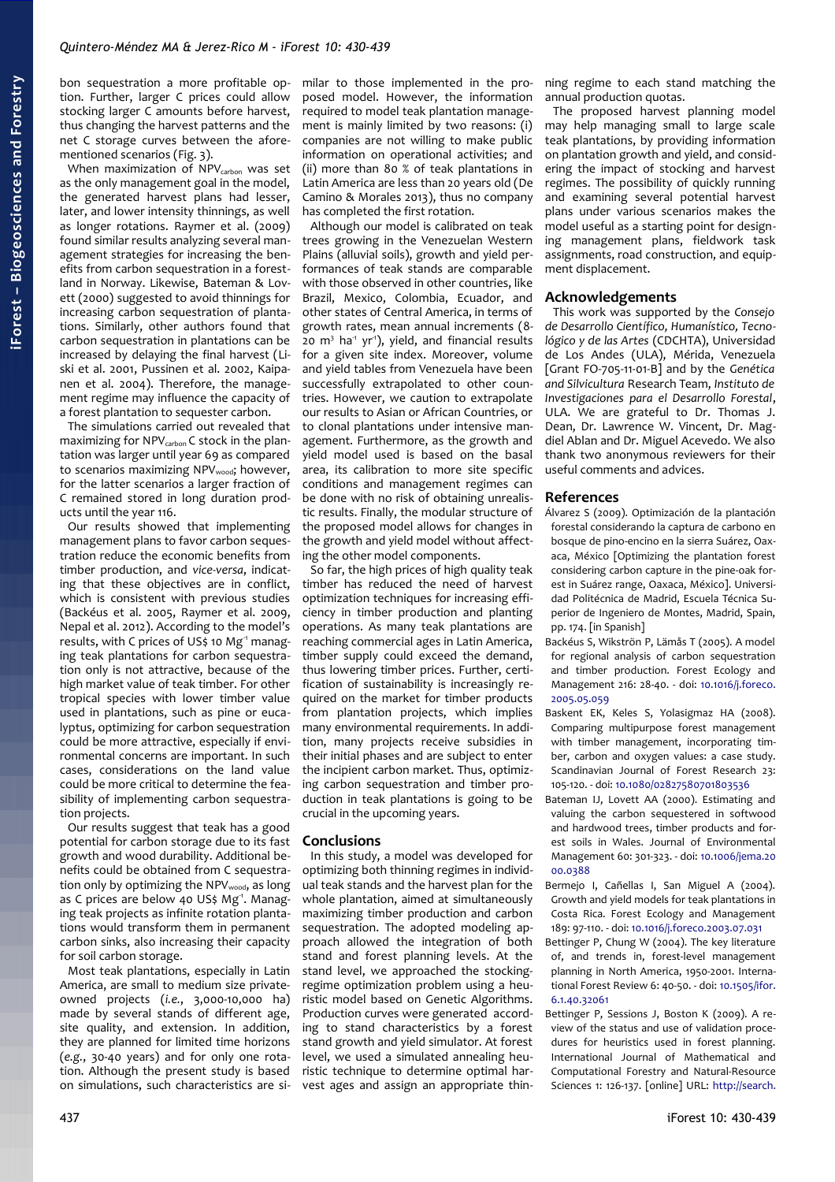bon sequestration a more profitable option. Further, larger C prices could allow stocking larger C amounts before harvest, thus changing the harvest patterns and the net C storage curves between the afore-mentioned scenarios [\(Fig. 3\)](#page-6-1).

When maximization of  $NPV$ <sub>carbon</sub> was set as the only management goal in the model, the generated harvest plans had lesser, later, and lower intensity thinnings, as well as longer rotations. Raymer et al. (2009) found similar results analyzing several management strategies for increasing the benefits from carbon sequestration in a forestland in Norway. Likewise, Bateman & Lovett (2000) suggested to avoid thinnings for increasing carbon sequestration of plantations. Similarly, other authors found that carbon sequestration in plantations can be increased by delaying the final harvest (Liski et al. 2001, Pussinen et al. 2002, Kaipanen et al. 2004). Therefore, the management regime may influence the capacity of a forest plantation to sequester carbon.

The simulations carried out revealed that maximizing for  $NPV_{carbon}$  C stock in the plantation was larger until year 69 as compared to scenarios maximizing NPVwood; however, for the latter scenarios a larger fraction of C remained stored in long duration products until the year 116.

Our results showed that implementing management plans to favor carbon sequestration reduce the economic benefits from timber production, and *vice-versa*, indicating that these objectives are in conflict, which is consistent with previous studies (Backéus et al. 2005, Raymer et al. 2009, Nepal et al. 2012). According to the model's results, with C prices of US\$ 10 Mg<sup>-1</sup> managing teak plantations for carbon sequestration only is not attractive, because of the high market value of teak timber. For other tropical species with lower timber value used in plantations, such as pine or eucalyptus, optimizing for carbon sequestration could be more attractive, especially if environmental concerns are important. In such cases, considerations on the land value could be more critical to determine the feasibility of implementing carbon sequestration projects.

Our results suggest that teak has a good potential for carbon storage due to its fast growth and wood durability. Additional benefits could be obtained from C sequestration only by optimizing the NPVwood, as long as C prices are below 40 US\$ Mg<sup>1</sup>. Managing teak projects as infinite rotation plantations would transform them in permanent carbon sinks, also increasing their capacity for soil carbon storage.

Most teak plantations, especially in Latin America, are small to medium size privateowned projects (*i.e.*, 3,000-10,000 ha) made by several stands of different age, site quality, and extension. In addition, they are planned for limited time horizons (*e.g.*, 30-40 years) and for only one rotation. Although the present study is based on simulations, such characteristics are similar to those implemented in the proposed model. However, the information required to model teak plantation management is mainly limited by two reasons: (i) companies are not willing to make public information on operational activities; and (ii) more than 80 % of teak plantations in Latin America are less than 20 years old (De Camino & Morales 2013), thus no company has completed the first rotation.

Although our model is calibrated on teak trees growing in the Venezuelan Western Plains (alluvial soils), growth and yield performances of teak stands are comparable with those observed in other countries, like Brazil, Mexico, Colombia, Ecuador, and other states of Central America, in terms of growth rates, mean annual increments (8- 20 m<sup>3</sup> ha<sup>1</sup> yr<sup>1</sup>), yield, and financial results for a given site index. Moreover, volume and yield tables from Venezuela have been successfully extrapolated to other countries. However, we caution to extrapolate our results to Asian or African Countries, or to clonal plantations under intensive management. Furthermore, as the growth and yield model used is based on the basal area, its calibration to more site specific conditions and management regimes can be done with no risk of obtaining unrealistic results. Finally, the modular structure of the proposed model allows for changes in the growth and yield model without affecting the other model components.

So far, the high prices of high quality teak timber has reduced the need of harvest optimization techniques for increasing efficiency in timber production and planting operations. As many teak plantations are reaching commercial ages in Latin America, timber supply could exceed the demand, thus lowering timber prices. Further, certification of sustainability is increasingly required on the market for timber products from plantation projects, which implies many environmental requirements. In addition, many projects receive subsidies in their initial phases and are subject to enter the incipient carbon market. Thus, optimizing carbon sequestration and timber production in teak plantations is going to be crucial in the upcoming years.

# **Conclusions**

In this study, a model was developed for optimizing both thinning regimes in individual teak stands and the harvest plan for the whole plantation, aimed at simultaneously maximizing timber production and carbon sequestration. The adopted modeling approach allowed the integration of both stand and forest planning levels. At the stand level, we approached the stockingregime optimization problem using a heuristic model based on Genetic Algorithms. Production curves were generated according to stand characteristics by a forest stand growth and yield simulator. At forest level, we used a simulated annealing heuristic technique to determine optimal harvest ages and assign an appropriate thinning regime to each stand matching the annual production quotas.

The proposed harvest planning model may help managing small to large scale teak plantations, by providing information on plantation growth and yield, and considering the impact of stocking and harvest regimes. The possibility of quickly running and examining several potential harvest plans under various scenarios makes the model useful as a starting point for designing management plans, fieldwork task assignments, road construction, and equipment displacement.

# **Acknowledgements**

This work was supported by the *Consejo de Desarrollo Científico, Humanístico, Tecnológico y de las Artes* (CDCHTA), Universidad de Los Andes (ULA), Mérida, Venezuela [Grant FO-705-11-01-B] and by the *Genética and Silvicultura* Research Team, *Instituto de Investigaciones para el Desarrollo Forestal*, ULA. We are grateful to Dr. Thomas J. Dean, Dr. Lawrence W. Vincent, Dr. Magdiel Ablan and Dr. Miguel Acevedo. We also thank two anonymous reviewers for their useful comments and advices.

# **References**

- Álvarez S (2009). Optimización de la plantación forestal considerando la captura de carbono en bosque de pino-encino en la sierra Suárez, Oaxaca, México [Optimizing the plantation forest considering carbon capture in the pine-oak forest in Suárez range, Oaxaca, México]. Universidad Politécnica de Madrid, Escuela Técnica Superior de Ingeniero de Montes, Madrid, Spain, pp. 174. [in Spanish]
- Backéus S, Wikströn P, Lämås T (2005). A model for regional analysis of carbon sequestration and timber production. Forest Ecology and Management 216: 28-40. - doi: [10.1016/j.foreco.](http://dx.doi.org/10.1016/j.foreco.2005.05.059) [2005.05.059](http://dx.doi.org/10.1016/j.foreco.2005.05.059)
- Baskent EK, Keles S, Yolasigmaz HA (2008). Comparing multipurpose forest management with timber management, incorporating timber, carbon and oxygen values: a case study. Scandinavian Journal of Forest Research 23: 105-120. - doi: [10.1080/02827580701803536](http://dx.doi.org/10.1080/02827580701803536)
- Bateman IJ, Lovett AA (2000). Estimating and valuing the carbon sequestered in softwood and hardwood trees, timber products and forest soils in Wales. Journal of Environmental Management 60: 301-323. - doi: [10.1006/jema.20](http://dx.doi.org/10.1006/jema.2000.0388) [00.0388](http://dx.doi.org/10.1006/jema.2000.0388)
- Bermejo I, Cañellas I, San Miguel A (2004). Growth and yield models for teak plantations in Costa Rica. Forest Ecology and Management 189: 97-110. - doi: [10.1016/j.foreco.2003.07.031](http://dx.doi.org/10.1016/j.foreco.2003.07.031)
- Bettinger P, Chung W (2004). The key literature of, and trends in, forest-level management planning in North America, 1950-2001. International Forest Review 6: 40-50. - doi: [10.1505/ifor.](http://dx.doi.org/10.1505/ifor.6.1.40.32061) [6.1.40.32061](http://dx.doi.org/10.1505/ifor.6.1.40.32061)
- Bettinger P, Sessions J, Boston K (2009). A review of the status and use of validation procedures for heuristics used in forest planning. International Journal of Mathematical and Computational Forestry and Natural-Resource Sciences 1: 126-137. [online] URL: [http://search.](http://search.proquest.com/openview/0d684ca546b2aece749d3ebf6ac13479/1)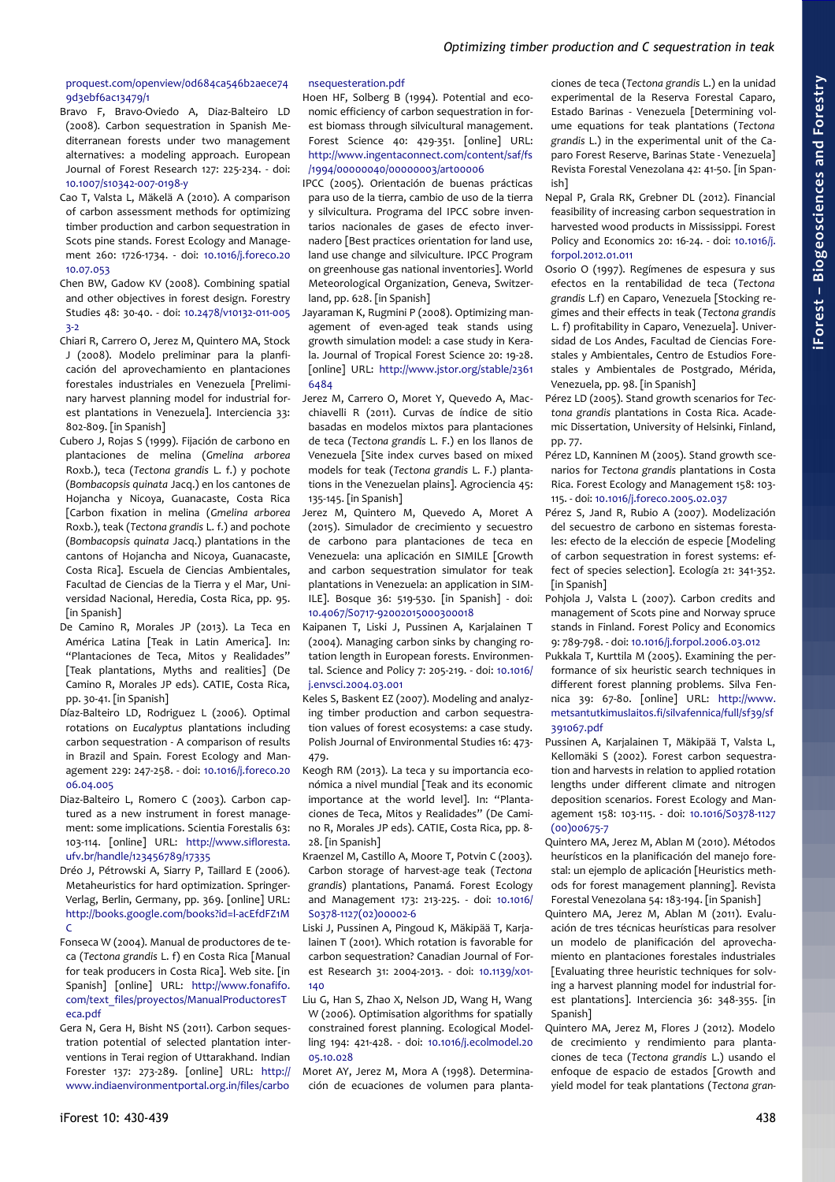# [proquest.com/openview/0d684ca546b2aece74](http://search.proquest.com/openview/0d684ca546b2aece749d3ebf6ac13479/1) [9d3ebf6ac13479/1](http://search.proquest.com/openview/0d684ca546b2aece749d3ebf6ac13479/1)

- Bravo F, Bravo-Oviedo A, Diaz-Balteiro LD (2008). Carbon sequestration in Spanish Mediterranean forests under two management alternatives: a modeling approach. European Journal of Forest Research 127: 225-234. - doi: [10.1007/s10342-007-0198-y](http://dx.doi.org/10.1007/s10342-007-0198-y)
- Cao T, Valsta L, Mäkelä A (2010). A comparison of carbon assessment methods for optimizing timber production and carbon sequestration in Scots pine stands. Forest Ecology and Management 260: 1726-1734. - doi: [10.1016/j.foreco.20](http://dx.doi.org/10.1016/j.foreco.2010.07.053) [10.07.053](http://dx.doi.org/10.1016/j.foreco.2010.07.053)
- Chen BW, Gadow KV (2008). Combining spatial and other objectives in forest design. Forestry Studies 48: 30-40. - doi: [10.2478/v10132-011-005](http://dx.doi.org/10.2478/v10132-011-0053-2) [3-2](http://dx.doi.org/10.2478/v10132-011-0053-2)
- Chiari R, Carrero O, Jerez M, Quintero MA, Stock J (2008). Modelo preliminar para la planficación del aprovechamiento en plantaciones forestales industriales en Venezuela [Preliminary harvest planning model for industrial forest plantations in Venezuela]. Interciencia 33: 802-809. [in Spanish]
- Cubero J, Rojas S (1999). Fijación de carbono en plantaciones de melina (*Gmelina arborea* Roxb.), teca (*Tectona grandis* L. f.) y pochote (*Bombacopsis quinata* Jacq.) en los cantones de Hojancha y Nicoya, Guanacaste, Costa Rica [Carbon fixation in melina (*Gmelina arborea* Roxb.), teak (*Tectona grandis* L. f.) and pochote (*Bombacopsis quinata* Jacq.) plantations in the cantons of Hojancha and Nicoya, Guanacaste, Costa Rica]. Escuela de Ciencias Ambientales, Facultad de Ciencias de la Tierra y el Mar, Universidad Nacional, Heredia, Costa Rica, pp. 95. [in Spanish]
- De Camino R, Morales JP (2013). La Teca en América Latina [Teak in Latin America]. In: "Plantaciones de Teca, Mitos y Realidades" [Teak plantations, Myths and realities] (De Camino R, Morales JP eds). CATIE, Costa Rica, pp. 30-41. [in Spanish]
- Díaz-Balteiro LD, Rodriguez L (2006). Optimal rotations on *Eucalyptus* plantations including carbon sequestration - A comparison of results in Brazil and Spain. Forest Ecology and Management 229: 247-258. - doi: [10.1016/j.foreco.20](http://dx.doi.org/10.1016/j.foreco.2006.04.005) [06.04.005](http://dx.doi.org/10.1016/j.foreco.2006.04.005)
- Diaz-Balteiro L, Romero C (2003). Carbon captured as a new instrument in forest management: some implications. Scientia Forestalis 63: 103-114. [online] URL: [http://www.sifloresta.](http://www.sifloresta.ufv.br/handle/123456789/17335) [ufv.br/handle/123456789/17335](http://www.sifloresta.ufv.br/handle/123456789/17335)
- Dréo J, Pétrowski A, Siarry P, Taillard E (2006). Metaheuristics for hard optimization. Springer-Verlag, Berlin, Germany, pp. 369. [online] URL: [http://books.google.com/books?id=l-acEfdFZ1M](http://books.google.com/books?id=l-acEfdFZ1MC) [C](http://books.google.com/books?id=l-acEfdFZ1MC)
- Fonseca W (2004). Manual de productores de teca (*Tectona grandis* L. f) en Costa Rica [Manual for teak producers in Costa Rica]. Web site. [in Spanish] [online] URL: [http://www.fonafifo.](http://www.fonafifo.com/text_files/proyectos/ManualProductoresTeca.pdf) [com/text\\_files/proyectos/ManualProductoresT](http://www.fonafifo.com/text_files/proyectos/ManualProductoresTeca.pdf) [eca.pdf](http://www.fonafifo.com/text_files/proyectos/ManualProductoresTeca.pdf)
- Gera N, Gera H, Bisht NS (2011). Carbon sequestration potential of selected plantation interventions in Terai region of Uttarakhand. Indian Forester 137: 273-289. [online] URL: [http://](http://www.indiaenvironmentportal.org.in/files/carbonsequesteration.pdf) [www.indiaenvironmentportal.org.in/files/carbo](http://www.indiaenvironmentportal.org.in/files/carbonsequesteration.pdf)

# [nsequesteration.pdf](http://www.indiaenvironmentportal.org.in/files/carbonsequesteration.pdf)

Hoen HF, Solberg B (1994). Potential and economic efficiency of carbon sequestration in forest biomass through silvicultural management. Forest Science 40: 429-351. [online] URL: [http://www.ingentaconnect.com/content/saf/fs](http://www.ingentaconnect.com/content/saf/fs/1994/00000040/00000003/art00006) [/1994/00000040/00000003/art00006](http://www.ingentaconnect.com/content/saf/fs/1994/00000040/00000003/art00006)

IPCC (2005). Orientación de buenas prácticas para uso de la tierra, cambio de uso de la tierra y silvicultura. Programa del IPCC sobre inventarios nacionales de gases de efecto invernadero [Best practices orientation for land use, land use change and silviculture. IPCC Program on greenhouse gas national inventories]. World Meteorological Organization, Geneva, Switzerland, pp. 628. [in Spanish]

Jayaraman K, Rugmini P (2008). Optimizing management of even-aged teak stands using growth simulation model: a case study in Kerala. Journal of Tropical Forest Science 20: 19-28. [online] URL: [http://www.jstor.org/stable/2361](http://www.jstor.org/stable/23616484) [6484](http://www.jstor.org/stable/23616484)

- Jerez M, Carrero O, Moret Y, Quevedo A, Macchiavelli R (2011). Curvas de índice de sitio basadas en modelos mixtos para plantaciones de teca (*Tectona grandis* L. F.) en los llanos de Venezuela [Site index curves based on mixed models for teak (*Tectona grandis* L. F.) plantations in the Venezuelan plains]. Agrociencia 45: 135-145. [in Spanish]
- Jerez M, Quintero M, Quevedo A, Moret A (2015). Simulador de crecimiento y secuestro de carbono para plantaciones de teca en Venezuela: una aplicación en SIMILE [Growth and carbon sequestration simulator for teak plantations in Venezuela: an application in SIM-ILE]. Bosque 36: 519-530. [in Spanish] - doi: [10.4067/S0717-92002015000300018](http://dx.doi.org/10.4067/S0717-92002015000300018)
- Kaipanen T, Liski J, Pussinen A, Karjalainen T (2004). Managing carbon sinks by changing rotation length in European forests. Environmental. Science and Policy 7: 205-219. - doi: [10.1016/](http://dx.doi.org/10.1016/j.envsci.2004.03.001) [j.envsci.2004.03.001](http://dx.doi.org/10.1016/j.envsci.2004.03.001)
- Keles S, Baskent EZ (2007). Modeling and analyzing timber production and carbon sequestration values of forest ecosystems: a case study. Polish Journal of Environmental Studies 16: 473- 479.
- Keogh RM (2013). La teca y su importancia económica a nivel mundial [Teak and its economic importance at the world level]. In: "Plantaciones de Teca, Mitos y Realidades" (De Camino R, Morales JP eds). CATIE, Costa Rica, pp. 8- 28. [in Spanish]
- Kraenzel M, Castillo A, Moore T, Potvin C (2003). Carbon storage of harvest-age teak (*Tectona grandis*) plantations, Panamá. Forest Ecology and Management 173: 213-225. - doi: [10.1016/](http://dx.doi.org/10.1016/S0378-1127(02)00002-6) [S0378-1127\(02\)00002-6](http://dx.doi.org/10.1016/S0378-1127(02)00002-6)
- Liski J, Pussinen A, Pingoud K, Mäkipää T, Karjalainen T (2001). Which rotation is favorable for carbon sequestration? Canadian Journal of Forest Research 31: 2004-2013. - doi: [10.1139/x01-](http://dx.doi.org/10.1139/x01-140) [140](http://dx.doi.org/10.1139/x01-140)
- Liu G, Han S, Zhao X, Nelson JD, Wang H, Wang W (2006). Optimisation algorithms for spatially constrained forest planning. Ecological Modelling 194: 421-428. - doi: [10.1016/j.ecolmodel.20](http://dx.doi.org/10.1016/j.ecolmodel.2005.10.028) [05.10.028](http://dx.doi.org/10.1016/j.ecolmodel.2005.10.028)
- Moret AY, Jerez M, Mora A (1998). Determinación de ecuaciones de volumen para planta-

ciones de teca (*Tectona grandis* L.) en la unidad experimental de la Reserva Forestal Caparo, Estado Barinas - Venezuela [Determining volume equations for teak plantations (*Tectona grandis* L.) in the experimental unit of the Caparo Forest Reserve, Barinas State - Venezuela] Revista Forestal Venezolana 42: 41-50. [in Spanish]

- Nepal P, Grala RK, Grebner DL (2012). Financial feasibility of increasing carbon sequestration in harvested wood products in Mississippi. Forest Policy and Economics 20: 16-24. - doi: [10.1016/j.](http://dx.doi.org/10.1016/j.forpol.2012.01.011) [forpol.2012.01.011](http://dx.doi.org/10.1016/j.forpol.2012.01.011)
- Osorio O (1997). Regímenes de espesura y sus efectos en la rentabilidad de teca (*Tectona grandis* L.f) en Caparo, Venezuela [Stocking regimes and their effects in teak (*Tectona grandis* L. f) profitability in Caparo, Venezuela]. Universidad de Los Andes, Facultad de Ciencias Forestales y Ambientales, Centro de Estudios Forestales y Ambientales de Postgrado, Mérida, Venezuela, pp. 98. [in Spanish]
- Pérez LD (2005). Stand growth scenarios for *Tectona grandis* plantations in Costa Rica. Academic Dissertation, University of Helsinki, Finland, pp. 77.
- Pérez LD, Kanninen M (2005). Stand growth scenarios for *Tectona grandis* plantations in Costa Rica. Forest Ecology and Management 158: 103- 115. - doi: [10.1016/j.foreco.2005.02.037](http://dx.doi.org/10.1016/j.foreco.2005.02.037)
- Pérez S, Jand R, Rubio A (2007). Modelización del secuestro de carbono en sistemas forestales: efecto de la elección de especie [Modeling of carbon sequestration in forest systems: effect of species selection]. Ecología 21: 341-352. [in Spanish]
- Pohjola J, Valsta L (2007). Carbon credits and management of Scots pine and Norway spruce stands in Finland. Forest Policy and Economics 9: 789-798. - doi: [10.1016/j.forpol.2006.03.012](http://dx.doi.org/10.1016/j.forpol.2006.03.012)
- Pukkala T, Kurttila M (2005). Examining the performance of six heuristic search techniques in different forest planning problems. Silva Fennica 39: 67-80. [online] URL: [http://www.](http://www.metsantutkimuslaitos.fi/silvafennica/full/sf39/sf391067.pdf) [metsantutkimuslaitos.fi/silvafennica/full/sf39/sf](http://www.metsantutkimuslaitos.fi/silvafennica/full/sf39/sf391067.pdf) [391067.pdf](http://www.metsantutkimuslaitos.fi/silvafennica/full/sf39/sf391067.pdf)
- Pussinen A, Karjalainen T, Mäkipää T, Valsta L, Kellomäki S (2002). Forest carbon sequestration and harvests in relation to applied rotation lengths under different climate and nitrogen deposition scenarios. Forest Ecology and Management 158: 103-115. - doi: [10.1016/S0378-1127](http://dx.doi.org/10.1016/S0378-1127(00)00675-7) [\(00\)00675-7](http://dx.doi.org/10.1016/S0378-1127(00)00675-7)
- Quintero MA, Jerez M, Ablan M (2010). Métodos heurísticos en la planificación del manejo forestal: un ejemplo de aplicación [Heuristics methods for forest management planning]. Revista Forestal Venezolana 54: 183-194. [in Spanish]
- Quintero MA, Jerez M, Ablan M (2011). Evaluación de tres técnicas heurísticas para resolver un modelo de planificación del aprovechamiento en plantaciones forestales industriales [Evaluating three heuristic techniques for solving a harvest planning model for industrial forest plantations]. Interciencia 36: 348-355. [in Spanish]
- Quintero MA, Jerez M, Flores J (2012). Modelo de crecimiento y rendimiento para plantaciones de teca (*Tectona grandis* L.) usando el enfoque de espacio de estados [Growth and yield model for teak plantations (*Tectona gran-*